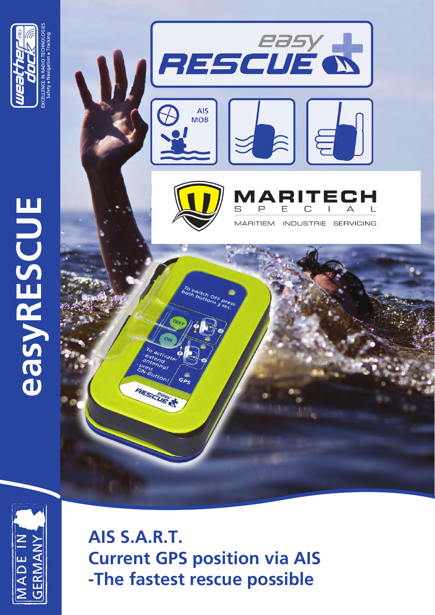

**easyRESCUE**

**EasyRESCUE** 





**AIS S.A.R.T. Current GPS position via AIS -The fastest rescue possible**